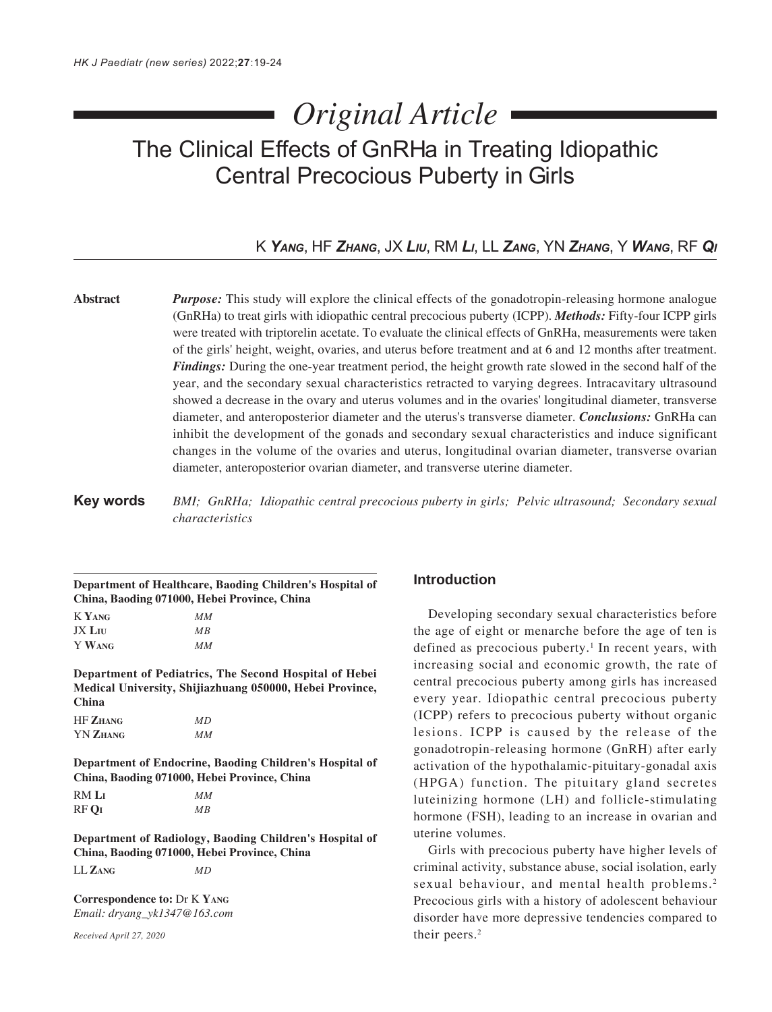# *Original Article*

## The Clinical Effects of GnRHa in Treating Idiopathic Central Precocious Puberty in Girls

## K *YANG*, HF *ZHANG*, JX *LIU*, RM *LI*, LL *ZANG*, YN *ZHANG*, Y *WANG*, RF *QI*

**Abstract** *Purpose:* This study will explore the clinical effects of the gonadotropin-releasing hormone analogue (GnRHa) to treat girls with idiopathic central precocious puberty (ICPP). *Methods:* Fifty-four ICPP girls were treated with triptorelin acetate. To evaluate the clinical effects of GnRHa, measurements were taken of the girls' height, weight, ovaries, and uterus before treatment and at 6 and 12 months after treatment. *Findings:* During the one-year treatment period, the height growth rate slowed in the second half of the year, and the secondary sexual characteristics retracted to varying degrees. Intracavitary ultrasound showed a decrease in the ovary and uterus volumes and in the ovaries' longitudinal diameter, transverse diameter, and anteroposterior diameter and the uterus's transverse diameter. *Conclusions:* GnRHa can inhibit the development of the gonads and secondary sexual characteristics and induce significant changes in the volume of the ovaries and uterus, longitudinal ovarian diameter, transverse ovarian diameter, anteroposterior ovarian diameter, and transverse uterine diameter.

**Key words** *BMI; GnRHa; Idiopathic central precocious puberty in girls; Pelvic ultrasound; Secondary sexual characteristics*

**Department of Healthcare, Baoding Children's Hospital of China, Baoding 071000, Hebei Province, China**

K **YANG** *MM* JX **LIU** *MB* Y **WANG** *MM*

**Department of Pediatrics, The Second Hospital of Hebei Medical University, Shijiazhuang 050000, Hebei Province, China**

| <b>HF ZHANG</b> | MD |
|-----------------|----|
| <b>YN ZHANG</b> | MМ |

**Department of Endocrine, Baoding Children's Hospital of China, Baoding 071000, Hebei Province, China**

| RM Lī | MМ |
|-------|----|
| RF OI | МB |

**Department of Radiology, Baoding Children's Hospital of China, Baoding 071000, Hebei Province, China**

LL **ZANG** *MD*

**Correspondence to:** Dr K **YANG** *Email: dryang\_yk1347@163.com*

*Received April 27, 2020*

## **Introduction**

Developing secondary sexual characteristics before the age of eight or menarche before the age of ten is defined as precocious puberty.<sup>1</sup> In recent years, with increasing social and economic growth, the rate of central precocious puberty among girls has increased every year. Idiopathic central precocious puberty (ICPP) refers to precocious puberty without organic lesions. ICPP is caused by the release of the gonadotropin-releasing hormone (GnRH) after early activation of the hypothalamic-pituitary-gonadal axis (HPGA) function. The pituitary gland secretes luteinizing hormone (LH) and follicle-stimulating hormone (FSH), leading to an increase in ovarian and uterine volumes.

Girls with precocious puberty have higher levels of criminal activity, substance abuse, social isolation, early sexual behaviour, and mental health problems.<sup>2</sup> Precocious girls with a history of adolescent behaviour disorder have more depressive tendencies compared to their peers.<sup>2</sup>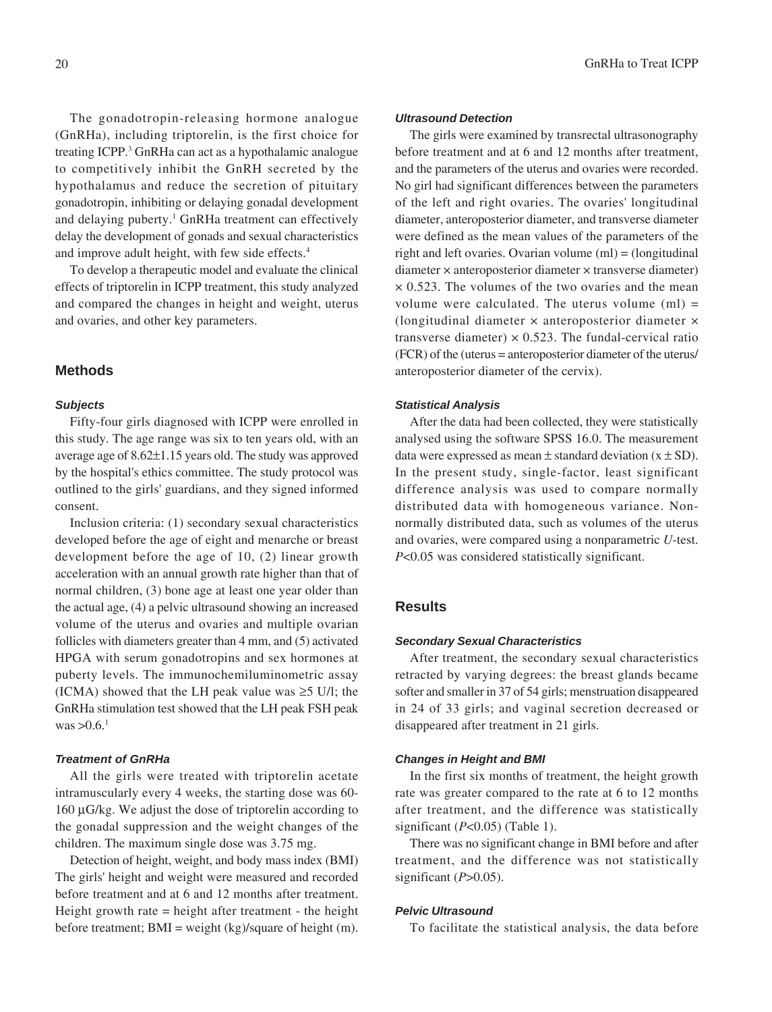The gonadotropin-releasing hormone analogue (GnRHa), including triptorelin, is the first choice for treating ICPP.<sup>3</sup> GnRHa can act as a hypothalamic analogue to competitively inhibit the GnRH secreted by the hypothalamus and reduce the secretion of pituitary gonadotropin, inhibiting or delaying gonadal development and delaying puberty.<sup>1</sup> GnRHa treatment can effectively delay the development of gonads and sexual characteristics and improve adult height, with few side effects.4

To develop a therapeutic model and evaluate the clinical effects of triptorelin in ICPP treatment, this study analyzed and compared the changes in height and weight, uterus and ovaries, and other key parameters.

#### **Methods**

#### *Subjects*

Fifty-four girls diagnosed with ICPP were enrolled in this study. The age range was six to ten years old, with an average age of 8.62±1.15 years old. The study was approved by the hospital's ethics committee. The study protocol was outlined to the girls' guardians, and they signed informed consent.

Inclusion criteria: (1) secondary sexual characteristics developed before the age of eight and menarche or breast development before the age of 10, (2) linear growth acceleration with an annual growth rate higher than that of normal children, (3) bone age at least one year older than the actual age, (4) a pelvic ultrasound showing an increased volume of the uterus and ovaries and multiple ovarian follicles with diameters greater than 4 mm, and (5) activated HPGA with serum gonadotropins and sex hormones at puberty levels. The immunochemiluminometric assay (ICMA) showed that the LH peak value was  $\geq$ 5 U/l; the GnRHa stimulation test showed that the LH peak FSH peak was  $>0.6$ .<sup>1</sup>

#### *Treatment of GnRHa*

All the girls were treated with triptorelin acetate intramuscularly every 4 weeks, the starting dose was 60- 160 µG/kg. We adjust the dose of triptorelin according to the gonadal suppression and the weight changes of the children. The maximum single dose was 3.75 mg.

Detection of height, weight, and body mass index (BMI) The girls' height and weight were measured and recorded before treatment and at 6 and 12 months after treatment. Height growth rate = height after treatment - the height before treatment; BMI = weight (kg)/square of height (m).

#### *Ultrasound Detection*

The girls were examined by transrectal ultrasonography before treatment and at 6 and 12 months after treatment, and the parameters of the uterus and ovaries were recorded. No girl had significant differences between the parameters of the left and right ovaries. The ovaries' longitudinal diameter, anteroposterior diameter, and transverse diameter were defined as the mean values of the parameters of the right and left ovaries. Ovarian volume (ml) = (longitudinal diameter × anteroposterior diameter × transverse diameter)  $\times$  0.523. The volumes of the two ovaries and the mean volume were calculated. The uterus volume  $(ml)$  = (longitudinal diameter × anteroposterior diameter × transverse diameter)  $\times$  0.523. The fundal-cervical ratio (FCR) of the (uterus = anteroposterior diameter of the uterus/ anteroposterior diameter of the cervix).

#### *Statistical Analysis*

After the data had been collected, they were statistically analysed using the software SPSS 16.0. The measurement data were expressed as mean  $\pm$  standard deviation (x  $\pm$  SD). In the present study, single-factor, least significant difference analysis was used to compare normally distributed data with homogeneous variance. Nonnormally distributed data, such as volumes of the uterus and ovaries, were compared using a nonparametric *U*-test. *P*<0.05 was considered statistically significant.

#### **Results**

#### *Secondary Sexual Characteristics*

After treatment, the secondary sexual characteristics retracted by varying degrees: the breast glands became softer and smaller in 37 of 54 girls; menstruation disappeared in 24 of 33 girls; and vaginal secretion decreased or disappeared after treatment in 21 girls.

#### *Changes in Height and BMI*

In the first six months of treatment, the height growth rate was greater compared to the rate at 6 to 12 months after treatment, and the difference was statistically significant (*P*<0.05) (Table 1).

There was no significant change in BMI before and after treatment, and the difference was not statistically significant (*P*>0.05).

#### *Pelvic Ultrasound*

To facilitate the statistical analysis, the data before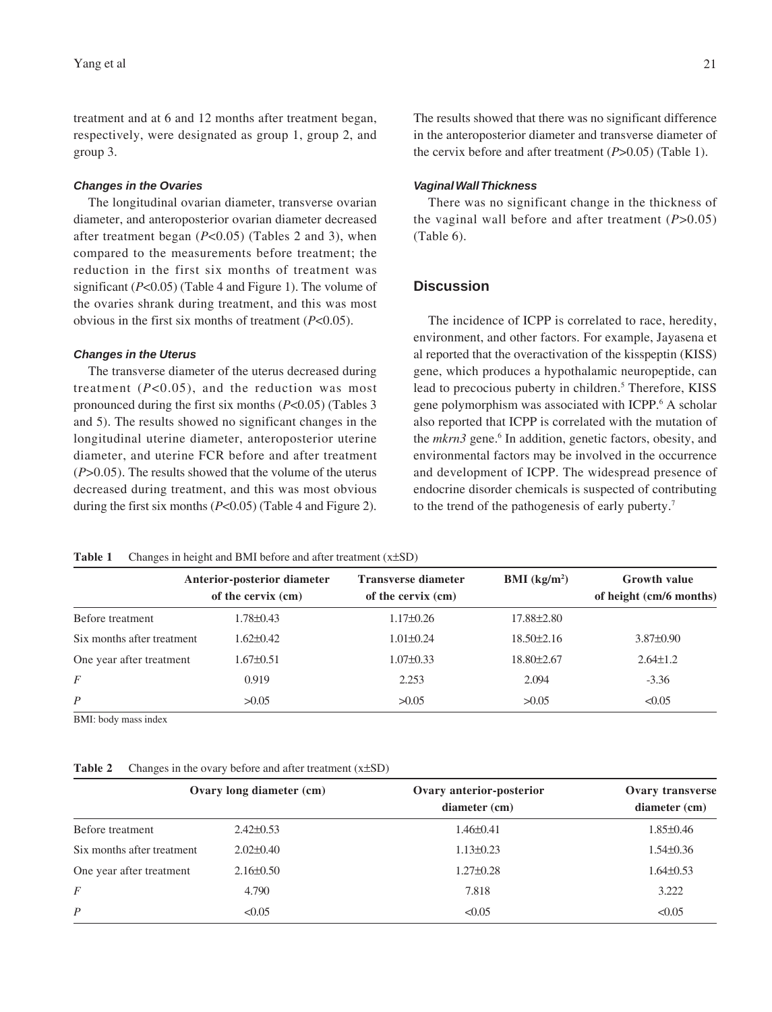treatment and at 6 and 12 months after treatment began, respectively, were designated as group 1, group 2, and group 3.

#### *Changes in the Ovaries*

The longitudinal ovarian diameter, transverse ovarian diameter, and anteroposterior ovarian diameter decreased after treatment began (*P*<0.05) (Tables 2 and 3), when compared to the measurements before treatment; the reduction in the first six months of treatment was significant (*P*<0.05) (Table 4 and Figure 1). The volume of the ovaries shrank during treatment, and this was most obvious in the first six months of treatment (*P*<0.05).

#### *Changes in the Uterus*

The transverse diameter of the uterus decreased during treatment  $(P<0.05)$ , and the reduction was most pronounced during the first six months (*P*<0.05) (Tables 3 and 5). The results showed no significant changes in the longitudinal uterine diameter, anteroposterior uterine diameter, and uterine FCR before and after treatment (*P*>0.05). The results showed that the volume of the uterus decreased during treatment, and this was most obvious during the first six months (*P*<0.05) (Table 4 and Figure 2).

The results showed that there was no significant difference in the anteroposterior diameter and transverse diameter of the cervix before and after treatment (*P*>0.05) (Table 1).

#### *Vaginal Wall Thickness*

There was no significant change in the thickness of the vaginal wall before and after treatment (*P*>0.05) (Table 6).

## **Discussion**

The incidence of ICPP is correlated to race, heredity, environment, and other factors. For example, Jayasena et al reported that the overactivation of the kisspeptin (KISS) gene, which produces a hypothalamic neuropeptide, can lead to precocious puberty in children.<sup>5</sup> Therefore, KISS gene polymorphism was associated with ICPP.<sup>6</sup> A scholar also reported that ICPP is correlated with the mutation of the *mkrn3* gene.<sup>6</sup> In addition, genetic factors, obesity, and environmental factors may be involved in the occurrence and development of ICPP. The widespread presence of endocrine disorder chemicals is suspected of contributing to the trend of the pathogenesis of early puberty.7

| Table 1 |  |  | Changes in height and BMI before and after treatment $(x\pm SD)$ |
|---------|--|--|------------------------------------------------------------------|
|         |  |  |                                                                  |

|                            | Anterior-posterior diameter<br>of the cervix (cm) | <b>Transverse diameter</b><br>of the cervix (cm) | <b>BMI</b> ( $kg/m2$ ) | <b>Growth value</b><br>of height (cm/6 months) |
|----------------------------|---------------------------------------------------|--------------------------------------------------|------------------------|------------------------------------------------|
| Before treatment           | 1.78±0.43                                         | $1.17\pm0.26$                                    | 17.88±2.80             |                                                |
| Six months after treatment | $1.62 \pm 0.42$                                   | $1.01 \pm 0.24$                                  | $18.50 \pm 2.16$       | $3.87 \pm 0.90$                                |
| One year after treatment   | 1.67±0.51                                         | $1.07 \pm 0.33$                                  | $18.80 \pm 2.67$       | $2.64 \pm 1.2$                                 |
| F                          | 0.919                                             | 2.253                                            | 2.094                  | $-3.36$                                        |
| P                          | >0.05                                             | >0.05                                            | >0.05                  | < 0.05                                         |

BMI: body mass index

| Table 2 |  |  |  | Changes in the ovary before and after treatment $(x\pm SD)$ |  |
|---------|--|--|--|-------------------------------------------------------------|--|
|---------|--|--|--|-------------------------------------------------------------|--|

|                            | Ovary long diameter (cm) | Ovary anterior-posterior | Ovary transverse |
|----------------------------|--------------------------|--------------------------|------------------|
|                            |                          | diameter (cm)            | diameter (cm)    |
| Before treatment           | $2.42\pm0.53$            | $1.46 \pm 0.41$          | $1.85 \pm 0.46$  |
| Six months after treatment | $2.02\pm0.40$            | $1.13 \pm 0.23$          | $1.54\pm0.36$    |
| One year after treatment   | $2.16\pm0.50$            | $1.27 \pm 0.28$          | $1.64 \pm 0.53$  |
| $\overline{F}$             | 4.790                    | 7.818                    | 3.222            |
| P                          | < 0.05                   | < 0.05                   | < 0.05           |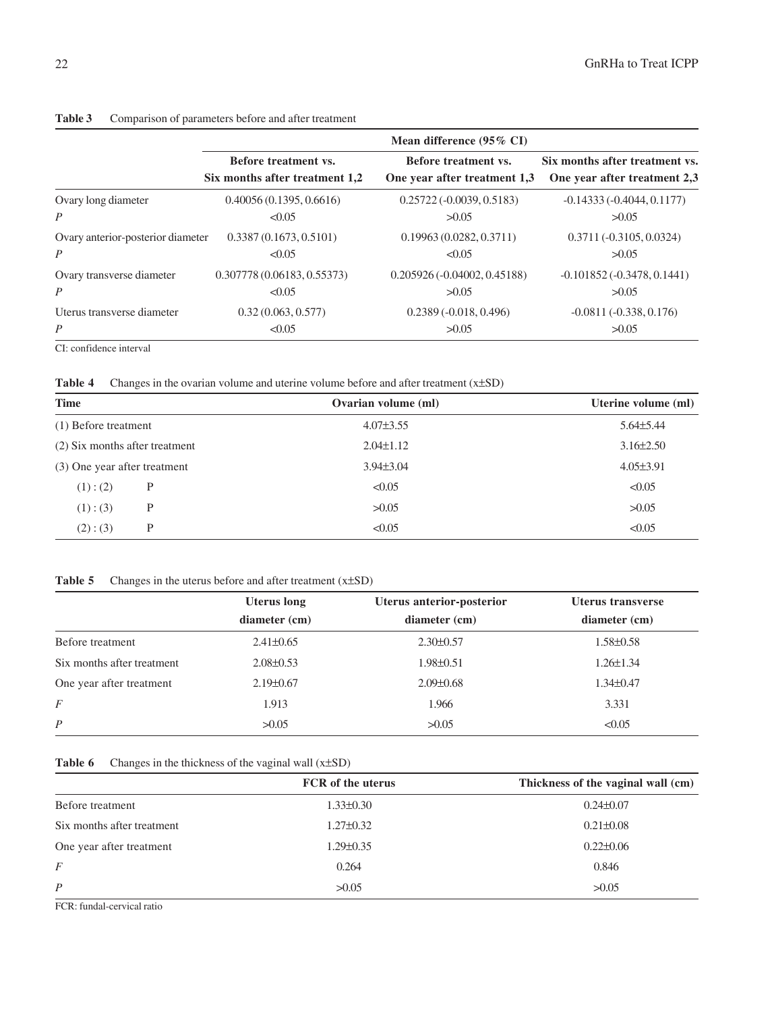|                                   | Mean difference (95% CI)       |                               |                                 |  |
|-----------------------------------|--------------------------------|-------------------------------|---------------------------------|--|
|                                   | Before treatment vs.           | Before treatment vs.          | Six months after treatment vs.  |  |
|                                   | Six months after treatment 1,2 | One year after treatment 1.3  | One year after treatment 2.3    |  |
| Ovary long diameter               | 0.40056(0.1395, 0.6616)        | $0.25722(-0.0039, 0.5183)$    | $-0.14333(-0.4044, 0.1177)$     |  |
| $\overline{P}$                    | < 0.05                         | >0.05                         | >0.05                           |  |
| Ovary anterior-posterior diameter | 0.3387(0.1673, 0.5101)         | 0.19963(0.0282, 0.3711)       | $0.3711(-0.3105, 0.0324)$       |  |
| $\boldsymbol{P}$                  | < 0.05                         | < 0.05                        | >0.05                           |  |
| Ovary transverse diameter         | 0.307778 (0.06183, 0.55373)    | $0.205926(-0.04002, 0.45188)$ | $-0.101852$ $(-0.3478, 0.1441)$ |  |
| $\overline{P}$                    | < 0.05                         | >0.05                         | >0.05                           |  |
| Uterus transverse diameter        | 0.32(0.063, 0.577)             | $0.2389(-0.018, 0.496)$       | $-0.0811(-0.338, 0.176)$        |  |
| $\overline{P}$                    | < 0.05                         | >0.05                         | >0.05                           |  |
| CI: confidence interval           |                                |                               |                                 |  |

#### **Table 3** Comparison of parameters before and after treatment

Table 4 Changes in the ovarian volume and uterine volume before and after treatment (x±SD)

| <b>Time</b>                    |   | Ovarian volume (ml) | Uterine volume (ml) |
|--------------------------------|---|---------------------|---------------------|
| (1) Before treatment           |   | $4.07 \pm 3.55$     | $5.64\pm5.44$       |
| (2) Six months after treatment |   | $2.04 \pm 1.12$     | $3.16\pm2.50$       |
| (3) One year after treatment   |   | $3.94\pm3.04$       | $4.05 \pm 3.91$     |
| $(1)$ : (2)                    | Р | < 0.05              | < 0.05              |
| (1):(3)                        | P | >0.05               | >0.05               |
| (2):(3)                        | P | < 0.05              | < 0.05              |

### Table 5 Changes in the uterus before and after treatment (x±SD)

|                            | <b>Uterus</b> long | Uterus anterior-posterior | Uterus transverse |
|----------------------------|--------------------|---------------------------|-------------------|
|                            | diameter (cm)      | diameter (cm)             | diameter (cm)     |
| Before treatment           | $2.41 \pm 0.65$    | $2.30\pm0.57$             | $1.58 \pm 0.58$   |
| Six months after treatment | $2.08\pm0.53$      | $1.98 \pm 0.51$           | $1.26 \pm 1.34$   |
| One year after treatment   | $2.19\pm0.67$      | $2.09 \pm 0.68$           | $1.34\pm0.47$     |
| F                          | 1.913              | 1.966                     | 3.331             |
| $\boldsymbol{P}$           | >0.05              | >0.05                     | < 0.05            |

## Table 6 Changes in the thickness of the vaginal wall (x±SD)

|                            | <b>FCR</b> of the uterus | Thickness of the vaginal wall (cm) |
|----------------------------|--------------------------|------------------------------------|
| Before treatment           | $1.33 \pm 0.30$          | $0.24 \pm 0.07$                    |
| Six months after treatment | $1.27 \pm 0.32$          | $0.21 \pm 0.08$                    |
| One year after treatment   | $1.29 \pm 0.35$          | $0.22 \pm 0.06$                    |
| F                          | 0.264                    | 0.846                              |
| $\boldsymbol{P}$           | >0.05                    | >0.05                              |

FCR: fundal-cervical ratio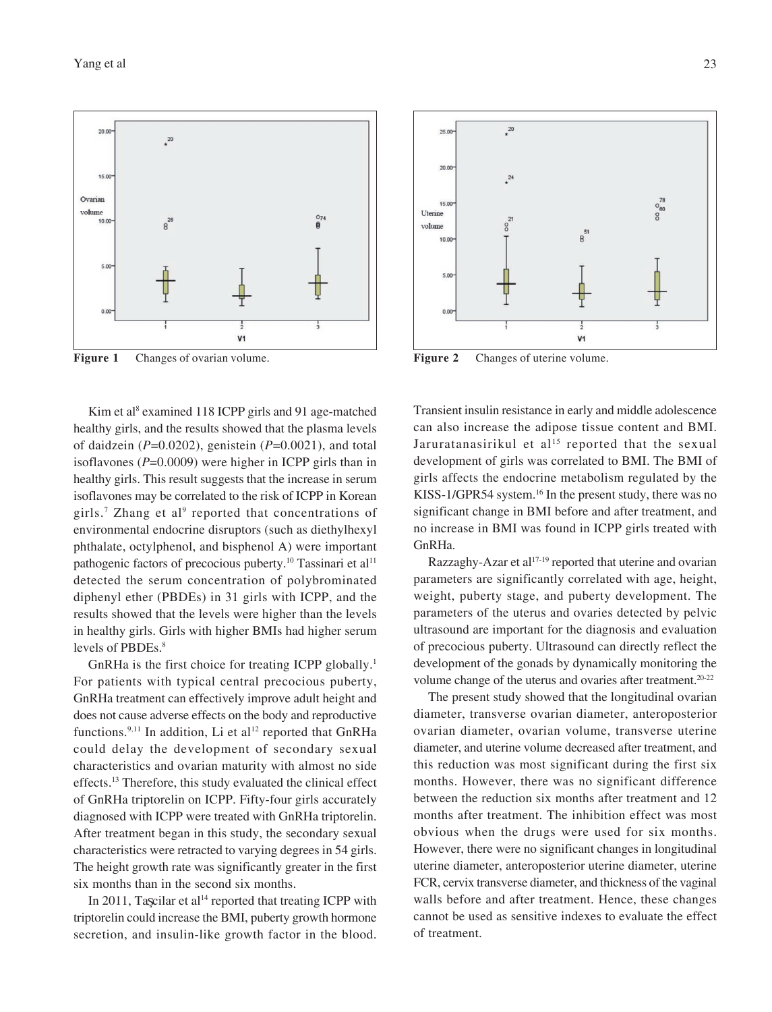#### Yang et al 23



**Figure 1** Changes of ovarian volume. **Figure 2** Changes of uterine volume.

Kim et al<sup>8</sup> examined 118 ICPP girls and 91 age-matched healthy girls, and the results showed that the plasma levels of daidzein (*P*=0.0202), genistein (*P*=0.0021), and total isoflavones (*P*=0.0009) were higher in ICPP girls than in healthy girls. This result suggests that the increase in serum isoflavones may be correlated to the risk of ICPP in Korean girls.<sup>7</sup> Zhang et al<sup>9</sup> reported that concentrations of environmental endocrine disruptors (such as diethylhexyl phthalate, octylphenol, and bisphenol A) were important pathogenic factors of precocious puberty.<sup>10</sup> Tassinari et al<sup>11</sup> detected the serum concentration of polybrominated diphenyl ether (PBDEs) in 31 girls with ICPP, and the results showed that the levels were higher than the levels in healthy girls. Girls with higher BMIs had higher serum levels of PBDEs.<sup>8</sup>

GnRHa is the first choice for treating ICPP globally.<sup>1</sup> For patients with typical central precocious puberty, GnRHa treatment can effectively improve adult height and does not cause adverse effects on the body and reproductive functions.<sup>9,11</sup> In addition, Li et al<sup>12</sup> reported that GnRHa could delay the development of secondary sexual characteristics and ovarian maturity with almost no side effects.13 Therefore, this study evaluated the clinical effect of GnRHa triptorelin on ICPP. Fifty-four girls accurately diagnosed with ICPP were treated with GnRHa triptorelin. After treatment began in this study, the secondary sexual characteristics were retracted to varying degrees in 54 girls. The height growth rate was significantly greater in the first six months than in the second six months.

In 2011, Taşcilar et al<sup>14</sup> reported that treating ICPP with triptorelin could increase the BMI, puberty growth hormone secretion, and insulin-like growth factor in the blood.



Transient insulin resistance in early and middle adolescence can also increase the adipose tissue content and BMI. Jaruratanasirikul et al<sup>15</sup> reported that the sexual development of girls was correlated to BMI. The BMI of girls affects the endocrine metabolism regulated by the KISS-1/GPR54 system.<sup>16</sup> In the present study, there was no significant change in BMI before and after treatment, and no increase in BMI was found in ICPP girls treated with GnRHa.

Razzaghy-Azar et al<sup>17-19</sup> reported that uterine and ovarian parameters are significantly correlated with age, height, weight, puberty stage, and puberty development. The parameters of the uterus and ovaries detected by pelvic ultrasound are important for the diagnosis and evaluation of precocious puberty. Ultrasound can directly reflect the development of the gonads by dynamically monitoring the volume change of the uterus and ovaries after treatment.<sup>20-22</sup>

The present study showed that the longitudinal ovarian diameter, transverse ovarian diameter, anteroposterior ovarian diameter, ovarian volume, transverse uterine diameter, and uterine volume decreased after treatment, and this reduction was most significant during the first six months. However, there was no significant difference between the reduction six months after treatment and 12 months after treatment. The inhibition effect was most obvious when the drugs were used for six months. However, there were no significant changes in longitudinal uterine diameter, anteroposterior uterine diameter, uterine FCR, cervix transverse diameter, and thickness of the vaginal walls before and after treatment. Hence, these changes cannot be used as sensitive indexes to evaluate the effect of treatment.